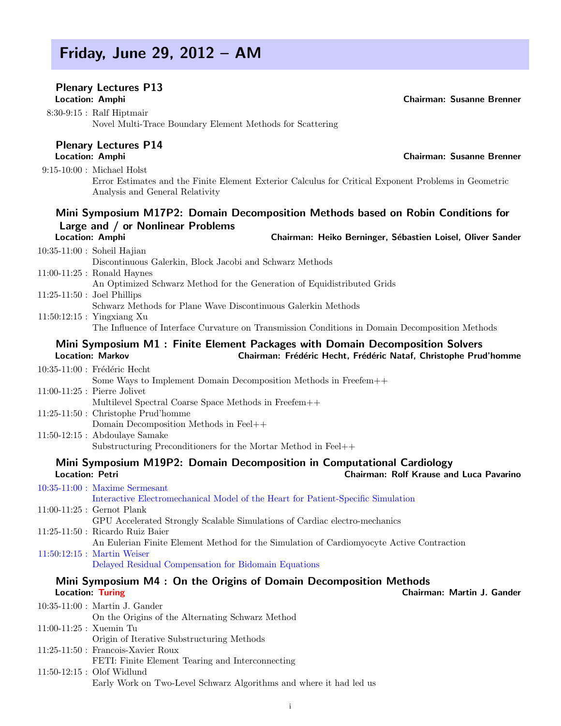## Friday, June 29, 2012 – AM

## Plenary Lectures P13

8:30-9:15 : Ralf Hiptmair Novel Multi-Trace Boundary Element Methods for Scattering

# Plenary Lectures P14<br>Location: Amphi

9:15-10:00 : Michael Holst Error Estimates and the Finite Element Exterior Calculus for Critical Exponent Problems in Geometric Analysis and General Relativity

## Mini Symposium M17P2: Domain Decomposition Methods based on Robin Conditions for Large and / or Nonlinear Problems

#### 10:35-11:00 : Soheil Hajian Discontinuous Galerkin, Block Jacobi and Schwarz Methods 11:00-11:25 : Ronald Haynes An Optimized Schwarz Method for the Generation of Equidistributed Grids 11:25-11:50 : Joel Phillips Schwarz Methods for Plane Wave Discontinuous Galerkin Methods 11:50:12:15 : Yingxiang Xu

The Influence of Interface Curvature on Transmission Conditions in Domain Decomposition Methods

#### Mini Symposium M1 : Finite Element Packages with Domain Decomposition Solvers Location: Markov **Chairman: Frédéric Hecht, Frédéric Nataf**, Christophe Prud'homme

 $10:35-11:00$ : Frédéric Hecht

Some Ways to Implement Domain Decomposition Methods in Freefem++

- 11:00-11:25 : Pierre Jolivet Multilevel Spectral Coarse Space Methods in Freefem++ 11:25-11:50 : Christophe Prud'homme
- Domain Decomposition Methods in Feel++
- 11:50-12:15 : Abdoulaye Samake Substructuring Preconditioners for the Mortar Method in Feel++

#### Mini Symposium M19P2: Domain Decomposition in Computational Cardiology Location: Petri Chairman: Rolf Krause and Luca Pavarino

10:35-11:00 : Maxime Sermesant Interactive Electromechanical Model of the Heart for Patient-Specific Simulation 11:00-11:25 : Gernot Plank GPU Accelerated Strongly Scalable Simulations of Cardiac electro-mechanics 11:25-11:50 : Ricardo Ruiz Baier An Eulerian Finite Element Method for the Simulation of Cardiomyocyte Active Contraction 11:50:12:15 : Martin Weiser

Delayed Residual Compensation for Bidomain Equations

# Mini Symposium M4 : On the Origins of Domain Decomposition Methods<br>Location: Turing Chairm

10:35-11:00 : Martin J. Gander On the Origins of the Alternating Schwarz Method 11:00-11:25 : Xuemin Tu Origin of Iterative Substructuring Methods 11:25-11:50 : Francois-Xavier Roux FETI: Finite Element Tearing and Interconnecting 11:50-12:15 : Olof Widlund Early Work on Two-Level Schwarz Algorithms and where it had led us

Location: Amphi **Chairman: Heiko Berninger, Sébastien Loisel**, Oliver Sander

i

Chairman: Martin J. Gander

**Chairman: Susanne Brenner** 

Location: Amphi Chairman: Susanne Brenner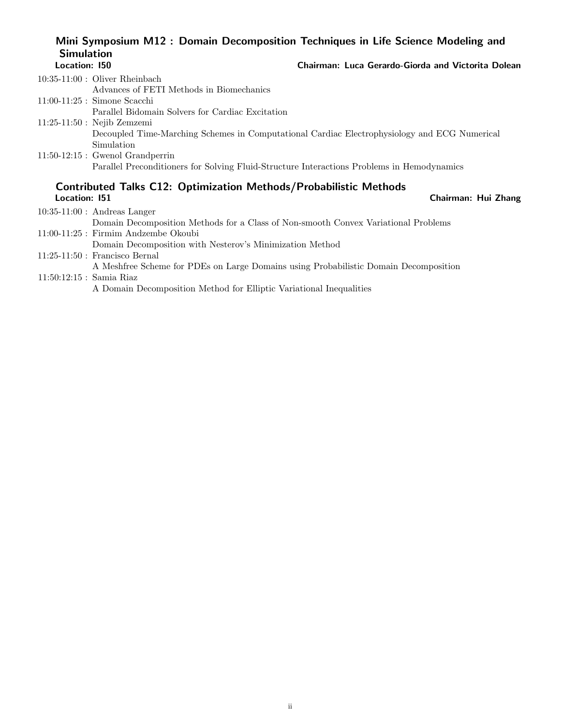### Mini Symposium M12 : Domain Decomposition Techniques in Life Science Modeling and **Simulation**<br>Location: 150 Chairman: Luca Gerardo-Giorda and Victorita Dolean

| $10:35-11:00$ : Oliver Rheinbach                                                             |
|----------------------------------------------------------------------------------------------|
| Advances of FETI Methods in Biomechanics                                                     |
| $11:00-11:25$ : Simone Scacchi                                                               |
| Parallel Bidomain Solvers for Cardiac Excitation                                             |
| $11:25-11:50$ : Nejib Zemzemi                                                                |
| Decoupled Time-Marching Schemes in Computational Cardiac Electrophysiology and ECG Numerical |
| Simulation                                                                                   |
| $11:50-12:15$ : Gwenol Grandperrin                                                           |
| Parallel Preconditioners for Solving Fluid-Structure Interactions Problems in Hemodynamics   |
|                                                                                              |

# Contributed Talks C12: Optimization Methods/Probabilistic Methods

| Location: 151              | Chairman: Hui Zhang                                                                  |  |
|----------------------------|--------------------------------------------------------------------------------------|--|
|                            | $10:35-11:00$ : Andreas Langer                                                       |  |
|                            | Domain Decomposition Methods for a Class of Non-smooth Convex Variational Problems   |  |
|                            | $11:00-11:25$ : Firmim Andzembe Okoubi                                               |  |
|                            | Domain Decomposition with Nesterov's Minimization Method                             |  |
|                            | $11:25-11:50$ : Francisco Bernal                                                     |  |
|                            | A Meshfree Scheme for PDEs on Large Domains using Probabilistic Domain Decomposition |  |
| $11:50:12:15$ : Samia Riaz |                                                                                      |  |
|                            | A Domain Decomposition Method for Elliptic Variational Inequalities                  |  |